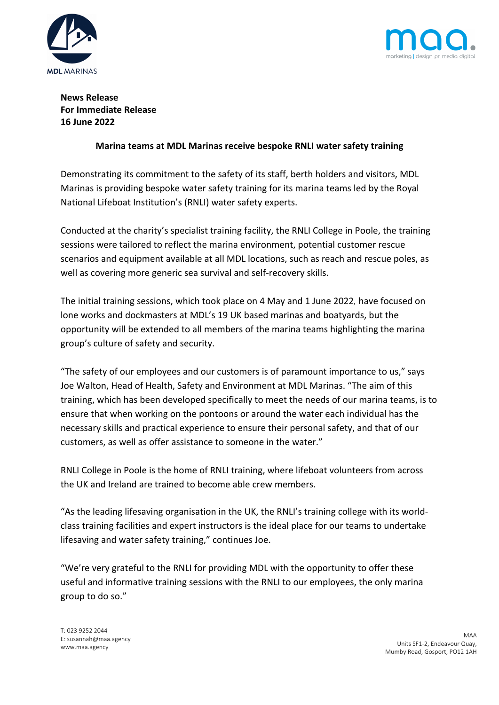



# **News Release For Immediate Release 16 June 2022**

## **Marina teams at MDL Marinas receive bespoke RNLI water safety training**

Demonstrating its commitment to the safety of its staff, berth holders and visitors, MDL Marinas is providing bespoke water safety training for its marina teams led by the Royal National Lifeboat Institution's (RNLI) water safety experts.

Conducted at the charity's specialist training facility, the RNLI College in Poole, the training sessions were tailored to reflect the marina environment, potential customer rescue scenarios and equipment available at all MDL locations, such as reach and rescue poles, as well as covering more generic sea survival and self-recovery skills.

The initial training sessions, which took place on 4 May and 1 June 2022*,* have focused on lone works and dockmasters at MDL's 19 UK based marinas and boatyards, but the opportunity will be extended to all members of the marina teams highlighting the marina group's culture of safety and security.

"The safety of our employees and our customers is of paramount importance to us," says Joe Walton, Head of Health, Safety and Environment at MDL Marinas. "The aim of this training, which has been developed specifically to meet the needs of our marina teams, is to ensure that when working on the pontoons or around the water each individual has the necessary skills and practical experience to ensure their personal safety, and that of our customers, as well as offer assistance to someone in the water."

RNLI College in Poole is the home of RNLI training, where lifeboat volunteers from across the UK and Ireland are trained to become able crew members.

"As the leading lifesaving organisation in the UK, the RNLI's training college with its worldclass training facilities and expert instructors is the ideal place for our teams to undertake lifesaving and water safety training," continues Joe.

"We're very grateful to the RNLI for providing MDL with the opportunity to offer these useful and informative training sessions with the RNLI to our employees, the only marina group to do so."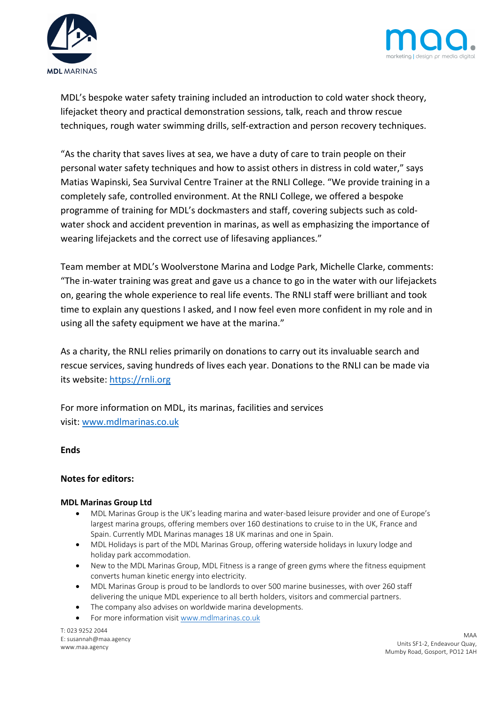



MDL's bespoke water safety training included an introduction to cold water shock theory, lifejacket theory and practical demonstration sessions, talk, reach and throw rescue techniques, rough water swimming drills, self-extraction and person recovery techniques.

"As the charity that saves lives at sea, we have a duty of care to train people on their personal water safety techniques and how to assist others in distress in cold water," says Matias Wapinski, Sea Survival Centre Trainer at the RNLI College. "We provide training in a completely safe, controlled environment. At the RNLI College, we offered a bespoke programme of training for MDL's dockmasters and staff, covering subjects such as coldwater shock and accident prevention in marinas, as well as emphasizing the importance of wearing lifejackets and the correct use of lifesaving appliances."

Team member at MDL's Woolverstone Marina and Lodge Park, Michelle Clarke, comments: "The in-water training was great and gave us a chance to go in the water with our lifejackets on, gearing the whole experience to real life events. The RNLI staff were brilliant and took time to explain any questions I asked, and I now feel even more confident in my role and in using all the safety equipment we have at the marina."

As a charity, the RNLI relies primarily on donations to carry out its invaluable search and rescue services, saving hundreds of lives each year. Donations to the RNLI can be made via its website: https://rnli.org

For more information on MDL, its marinas, facilities and services visit: www.mdlmarinas.co.uk

**Ends**

### **Notes for editors:**

#### **MDL Marinas Group Ltd**

- MDL Marinas Group is the UK's leading marina and water-based leisure provider and one of Europe's largest marina groups, offering members over 160 destinations to cruise to in the UK, France and Spain. Currently MDL Marinas manages 18 UK marinas and one in Spain.
- MDL Holidays is part of the MDL Marinas Group, offering waterside holidays in luxury lodge and holiday park accommodation.
- New to the MDL Marinas Group, MDL Fitness is a range of green gyms where the fitness equipment converts human kinetic energy into electricity.
- MDL Marinas Group is proud to be landlords to over 500 marine businesses, with over 260 staff delivering the unique MDL experience to all berth holders, visitors and commercial partners.
- The company also advises on worldwide marina developments.
- For more information visit www.mdlmarinas.co.uk

T: 023 9252 2044 E: susannah@maa.agency www.maa.agency

MAA Units SF1-2, Endeavour Quay, Mumby Road, Gosport, PO12 1AH